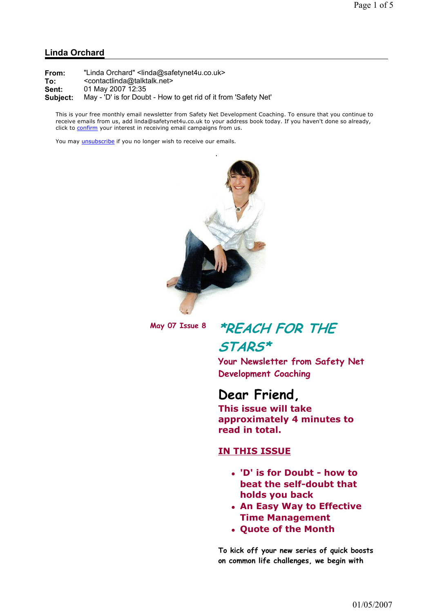#### Linda Orchard

| From:    | "Linda Orchard" <linda@safetynet4u.co.uk></linda@safetynet4u.co.uk> |
|----------|---------------------------------------------------------------------|
| To:      | <contactlinda@talktalk.net></contactlinda@talktalk.net>             |
| Sent:    | 01 May 2007 12:35                                                   |
| Subject: | May - 'D' is for Doubt - How to get rid of it from 'Safety Net'     |

This is your free monthly email newsletter from Safety Net Development Coaching. To ensure that you continue to receive emails from us, add linda@safetynet4u.co.uk to your address book today. If you haven't done so already, click to confirm your interest in receiving email campaigns from us.

You may *unsubscribe* if you no longer wish to receive our emails.



## May 07 Issue 8 \*REACH FOR THE STARS\*

Your Newsletter from Safety Net Development Coaching

### Dear Friend,

This issue will take approximately 4 minutes to read in total.

#### IN THIS ISSUE

- 'D' is for Doubt how to beat the self-doubt that holds you back
- An Easy Way to Effective Time Management
- Quote of the Month

To kick off your new series of quick boosts on common life challenges, we begin with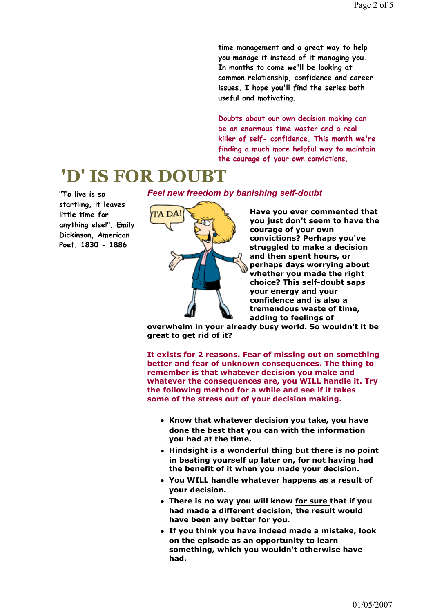time management and a great way to help you manage it instead of it managing you. In months to come we'll be looking at common relationship, confidence and career issues. I hope you'll find the series both useful and motivating.

Doubts about our own decision making can be an enormous time waster and a real killer of self- confidence. This month we're finding a much more helpful way to maintain the courage of your own convictions.

## 'D' IS FOR DOUBT

"To live is so startling, it leaves little time for anything else!", Emily Dickinson, American Poet, 1830 - 1886

Feel new freedom by banishing self-doubt

ta da!

Have you ever commented that you just don't seem to have the courage of your own convictions? Perhaps you've struggled to make a decision and then spent hours, or perhaps days worrying about whether you made the right choice? This self-doubt saps your energy and your confidence and is also a tremendous waste of time, adding to feelings of

overwhelm in your already busy world. So wouldn't it be great to get rid of it?

It exists for 2 reasons. Fear of missing out on something better and fear of unknown consequences. The thing to remember is that whatever decision you make and whatever the consequences are, you WILL handle it. Try the following method for a while and see if it takes some of the stress out of your decision making.

- Know that whatever decision you take, you have done the best that you can with the information you had at the time.
- Hindsight is a wonderful thing but there is no point in beating yourself up later on, for not having had the benefit of it when you made your decision.
- You WILL handle whatever happens as a result of your decision.
- There is no way you will know for sure that if you had made a different decision, the result would have been any better for you.
- If you think you have indeed made a mistake, look on the episode as an opportunity to learn something, which you wouldn't otherwise have had.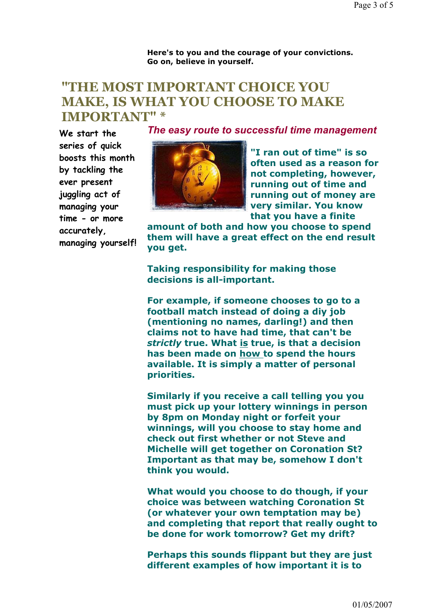Here's to you and the courage of your convictions. Go on, believe in yourself.

### "THE MOST IMPORTANT CHOICE YOU MAKE, IS WHAT YOU CHOOSE TO MAKE IMPORTANT" \*

We start the series of quick boosts this month by tackling the ever present juggling act of managing your time - or more accurately, managing yourself! The easy route to successful time management



"I ran out of time" is so often used as a reason for not completing, however, running out of time and running out of money are very similar. You know that you have a finite

amount of both and how you choose to spend them will have a great effect on the end result you get.

Taking responsibility for making those decisions is all-important.

For example, if someone chooses to go to a football match instead of doing a diy job (mentioning no names, darling!) and then claims not to have had time, that can't be strictly true. What is true, is that a decision has been made on how to spend the hours available. It is simply a matter of personal priorities.

Similarly if you receive a call telling you you must pick up your lottery winnings in person by 8pm on Monday night or forfeit your winnings, will you choose to stay home and check out first whether or not Steve and Michelle will get together on Coronation St? Important as that may be, somehow I don't think you would.

What would you choose to do though, if your choice was between watching Coronation St (or whatever your own temptation may be) and completing that report that really ought to be done for work tomorrow? Get my drift?

Perhaps this sounds flippant but they are just different examples of how important it is to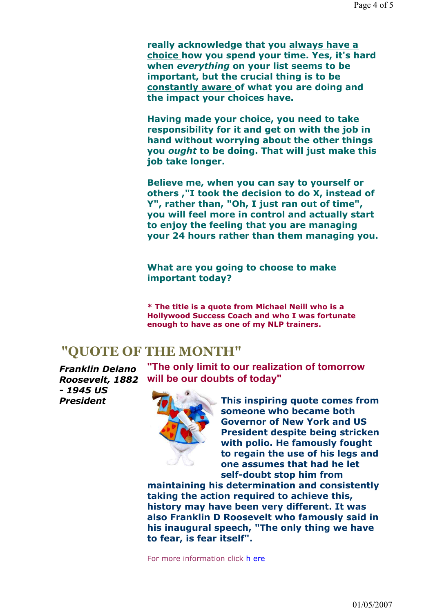really acknowledge that you always have a choice how you spend your time. Yes, it's hard when everything on your list seems to be important, but the crucial thing is to be constantly aware of what you are doing and the impact your choices have.

Having made your choice, you need to take responsibility for it and get on with the job in hand without worrying about the other things you ought to be doing. That will just make this job take longer.

Believe me, when you can say to yourself or others ,"I took the decision to do X, instead of Y", rather than, "Oh, I just ran out of time", you will feel more in control and actually start to enjoy the feeling that you are managing your 24 hours rather than them managing you.

What are you going to choose to make important today?

\* The title is a quote from Michael Neill who is a Hollywood Success Coach and who I was fortunate enough to have as one of my NLP trainers.

## "QUOTE OF THE MONTH"

Franklin Delano Roosevelt, 1882 - 1945 US President

"The only limit to our realization of tomorrow will be our doubts of today"



This inspiring quote comes from someone who became both Governor of New York and US President despite being stricken with polio. He famously fought to regain the use of his legs and one assumes that had he let self-doubt stop him from

maintaining his determination and consistently taking the action required to achieve this, history may have been very different. It was also Franklin D Roosevelt who famously said in his inaugural speech, "The only thing we have to fear, is fear itself".

For more information click h ere